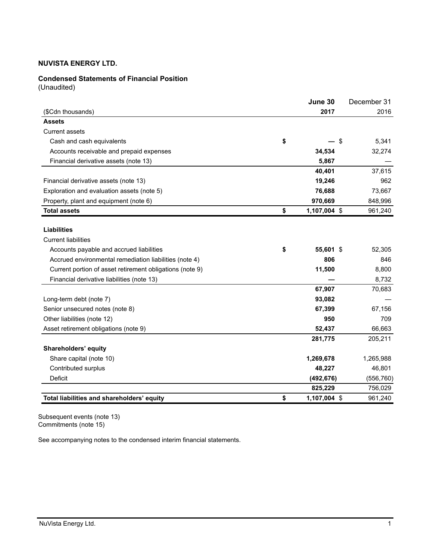## **Condensed Statements of Financial Position**

(Unaudited)

|                                                          | June 30            | December 31 |
|----------------------------------------------------------|--------------------|-------------|
| (\$Cdn thousands)                                        | 2017               | 2016        |
| <b>Assets</b>                                            |                    |             |
| <b>Current assets</b>                                    |                    |             |
| Cash and cash equivalents                                | \$<br>\$           | 5,341       |
| Accounts receivable and prepaid expenses                 | 34,534             | 32,274      |
| Financial derivative assets (note 13)                    | 5,867              |             |
|                                                          | 40,401             | 37,615      |
| Financial derivative assets (note 13)                    | 19,246             | 962         |
| Exploration and evaluation assets (note 5)               | 76,688             | 73,667      |
| Property, plant and equipment (note 6)                   | 970,669            | 848,996     |
| <b>Total assets</b>                                      | \$<br>1,107,004 \$ | 961,240     |
|                                                          |                    |             |
| <b>Liabilities</b>                                       |                    |             |
| <b>Current liabilities</b>                               |                    |             |
| Accounts payable and accrued liabilities                 | \$<br>55,601 \$    | 52,305      |
| Accrued environmental remediation liabilities (note 4)   | 806                | 846         |
| Current portion of asset retirement obligations (note 9) | 11,500             | 8,800       |
| Financial derivative liabilities (note 13)               |                    | 8,732       |
|                                                          | 67,907             | 70,683      |
| Long-term debt (note 7)                                  | 93,082             |             |
| Senior unsecured notes (note 8)                          | 67,399             | 67,156      |
| Other liabilities (note 12)                              | 950                | 709         |
| Asset retirement obligations (note 9)                    | 52,437             | 66,663      |
|                                                          | 281,775            | 205,211     |
| Shareholders' equity                                     |                    |             |
| Share capital (note 10)                                  | 1,269,678          | 1,265,988   |
| Contributed surplus                                      | 48,227             | 46,801      |
| <b>Deficit</b>                                           | (492, 676)         | (556, 760)  |
|                                                          | 825,229            | 756,029     |
| Total liabilities and shareholders' equity               | \$<br>1,107,004 \$ | 961,240     |

Subsequent events (note 13) Commitments (note 15)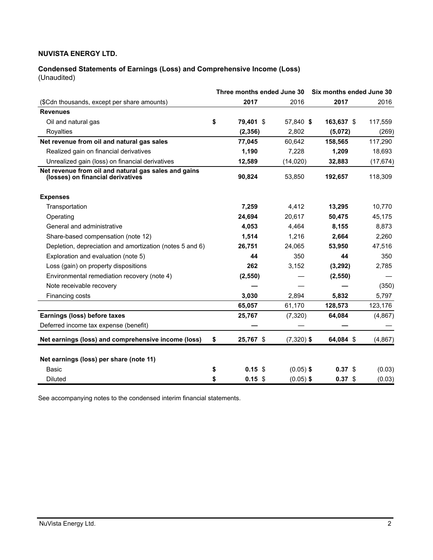#### **Condensed Statements of Earnings (Loss) and Comprehensive Income (Loss)** (Unaudited)

|                                                                                           | Three months ended June 30 |              | Six months ended June 30 |           |
|-------------------------------------------------------------------------------------------|----------------------------|--------------|--------------------------|-----------|
| (\$Cdn thousands, except per share amounts)                                               | 2017                       | 2016         | 2017                     | 2016      |
| <b>Revenues</b>                                                                           |                            |              |                          |           |
| Oil and natural gas                                                                       | \$<br>79.401 \$            | 57.840 \$    | 163,637 \$               | 117,559   |
| Royalties                                                                                 | (2, 356)                   | 2,802        | (5,072)                  | (269)     |
| Net revenue from oil and natural gas sales                                                | 77,045                     | 60,642       | 158,565                  | 117,290   |
| Realized gain on financial derivatives                                                    | 1,190                      | 7,228        | 1,209                    | 18,693    |
| Unrealized gain (loss) on financial derivatives                                           | 12,589                     | (14, 020)    | 32,883                   | (17, 674) |
| Net revenue from oil and natural gas sales and gains<br>(losses) on financial derivatives | 90,824                     | 53,850       | 192,657                  | 118,309   |
| <b>Expenses</b>                                                                           |                            |              |                          |           |
| Transportation                                                                            | 7,259                      | 4,412        | 13,295                   | 10.770    |
| Operating                                                                                 | 24,694                     | 20,617       | 50,475                   | 45,175    |
| General and administrative                                                                | 4.053                      | 4.464        | 8,155                    | 8,873     |
| Share-based compensation (note 12)                                                        | 1,514                      | 1,216        | 2,664                    | 2,260     |
| Depletion, depreciation and amortization (notes 5 and 6)                                  | 26,751                     | 24.065       | 53,950                   | 47,516    |
| Exploration and evaluation (note 5)                                                       | 44                         | 350          | 44                       | 350       |
| Loss (gain) on property dispositions                                                      | 262                        | 3,152        | (3,292)                  | 2,785     |
| Environmental remediation recovery (note 4)                                               | (2,550)                    |              | (2,550)                  |           |
| Note receivable recovery                                                                  |                            |              |                          | (350)     |
| Financing costs                                                                           | 3.030                      | 2.894        | 5.832                    | 5,797     |
|                                                                                           | 65,057                     | 61,170       | 128,573                  | 123,176   |
| Earnings (loss) before taxes                                                              | 25,767                     | (7,320)      | 64,084                   | (4,867)   |
| Deferred income tax expense (benefit)                                                     |                            |              |                          |           |
| Net earnings (loss) and comprehensive income (loss)                                       | \$<br>25,767 \$            | $(7,320)$ \$ | 64,084 \$                | (4, 867)  |
| Net earnings (loss) per share (note 11)                                                   |                            |              |                          |           |
| Basic                                                                                     | \$<br>0.15<br>-S           | $(0.05)$ \$  | 0.37 <sup>5</sup>        | (0.03)    |
| <b>Diluted</b>                                                                            | \$<br>$0.15$ \$            | $(0.05)$ \$  | 0.37 <sup>5</sup>        | (0.03)    |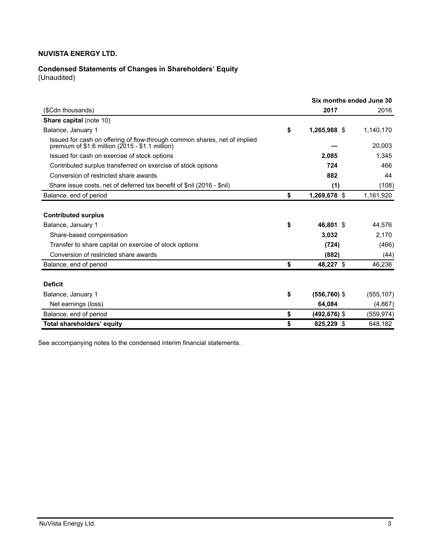# **Condensed Statements of Changes in Shareholders' Equity**

(Unaudited)

|                       | Six months ended June 30 |
|-----------------------|--------------------------|
| 2017                  | 2016                     |
|                       |                          |
| \$<br>1,265,988 \$    | 1,140,170                |
|                       | 20,003                   |
| 2,085                 | 1,345                    |
| 724                   | 466                      |
| 882                   | 44                       |
| (1)                   | (108)                    |
| \$<br>1,269,678 \$    | 1,161,920                |
|                       |                          |
|                       |                          |
| \$<br>46.801 \$       | 44,576                   |
| 3,032                 | 2,170                    |
| (724)                 | (466)                    |
| (882)                 | (44)                     |
| \$<br>48,227 \$       | 46,236                   |
|                       |                          |
|                       |                          |
| \$<br>$(556, 760)$ \$ | (555, 107)               |
| 64.084                | (4,867)                  |
| \$<br>$(492, 676)$ \$ | (559, 974)               |
| \$<br>825,229 \$      | 648,182                  |
|                       |                          |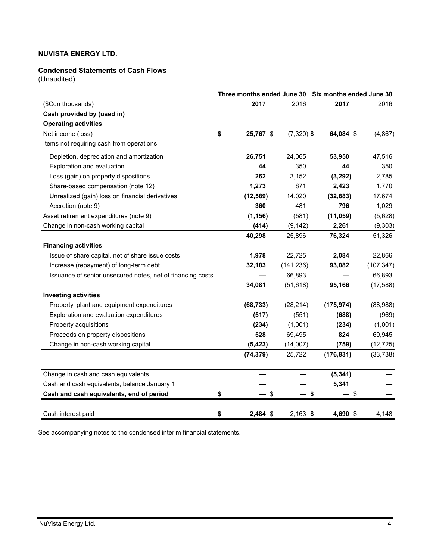## **Condensed Statements of Cash Flows**

(Unaudited)

|                                                            |                 |              | Three months ended June 30 Six months ended June 30 |            |
|------------------------------------------------------------|-----------------|--------------|-----------------------------------------------------|------------|
| (\$Cdn thousands)                                          | 2017            | 2016         | 2017                                                | 2016       |
| Cash provided by (used in)                                 |                 |              |                                                     |            |
| <b>Operating activities</b>                                |                 |              |                                                     |            |
| Net income (loss)                                          | \$<br>25,767 \$ | $(7,320)$ \$ | 64,084 \$                                           | (4, 867)   |
| Items not requiring cash from operations:                  |                 |              |                                                     |            |
| Depletion, depreciation and amortization                   | 26,751          | 24,065       | 53,950                                              | 47,516     |
| Exploration and evaluation                                 | 44              | 350          | 44                                                  | 350        |
| Loss (gain) on property dispositions                       | 262             | 3,152        | (3,292)                                             | 2,785      |
| Share-based compensation (note 12)                         | 1,273           | 871          | 2,423                                               | 1,770      |
| Unrealized (gain) loss on financial derivatives            | (12, 589)       | 14,020       | (32, 883)                                           | 17,674     |
| Accretion (note 9)                                         | 360             | 481          | 796                                                 | 1,029      |
| Asset retirement expenditures (note 9)                     | (1, 156)        | (581)        | (11, 059)                                           | (5,628)    |
| Change in non-cash working capital                         | (414)           | (9, 142)     | 2,261                                               | (9,303)    |
|                                                            | 40,298          | 25,896       | 76,324                                              | 51,326     |
| <b>Financing activities</b>                                |                 |              |                                                     |            |
| Issue of share capital, net of share issue costs           | 1,978           | 22,725       | 2,084                                               | 22,866     |
| Increase (repayment) of long-term debt                     | 32,103          | (141, 236)   | 93,082                                              | (107, 347) |
| Issuance of senior unsecured notes, net of financing costs |                 | 66,893       |                                                     | 66,893     |
|                                                            | 34,081          | (51, 618)    | 95,166                                              | (17, 588)  |
| <b>Investing activities</b>                                |                 |              |                                                     |            |
| Property, plant and equipment expenditures                 | (68, 733)       | (28, 214)    | (175, 974)                                          | (88,988)   |
| Exploration and evaluation expenditures                    | (517)           | (551)        | (688)                                               | (969)      |
| Property acquisitions                                      | (234)           | (1,001)      | (234)                                               | (1,001)    |
| Proceeds on property dispositions                          | 528             | 69,495       | 824                                                 | 69,945     |
| Change in non-cash working capital                         | (5, 423)        | (14,007)     | (759)                                               | (12, 725)  |
|                                                            | (74, 379)       | 25,722       | (176, 831)                                          | (33, 738)  |
| Change in cash and cash equivalents                        |                 |              | (5, 341)                                            |            |
| Cash and cash equivalents, balance January 1               |                 |              | 5,341                                               |            |
| Cash and cash equivalents, end of period                   | \$<br>- \$      | — \$         | $-$ \$                                              |            |
| Cash interest paid                                         | \$<br>2,484 \$  | $2,163$ \$   | 4,690 \$                                            | 4,148      |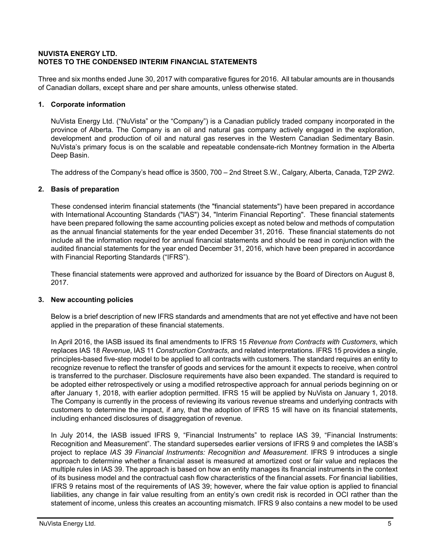## **NUVISTA ENERGY LTD. NOTES TO THE CONDENSED INTERIM FINANCIAL STATEMENTS**

Three and six months ended June 30, 2017 with comparative figures for 2016. All tabular amounts are in thousands of Canadian dollars, except share and per share amounts, unless otherwise stated.

# **1. Corporate information**

NuVista Energy Ltd. ("NuVista" or the "Company") is a Canadian publicly traded company incorporated in the province of Alberta. The Company is an oil and natural gas company actively engaged in the exploration, development and production of oil and natural gas reserves in the Western Canadian Sedimentary Basin. NuVista's primary focus is on the scalable and repeatable condensate-rich Montney formation in the Alberta Deep Basin.

The address of the Company's head office is 3500, 700 – 2nd Street S.W., Calgary, Alberta, Canada, T2P 2W2.

## **2. Basis of preparation**

These condensed interim financial statements (the "financial statements") have been prepared in accordance with International Accounting Standards ("IAS") 34, "Interim Financial Reporting". These financial statements have been prepared following the same accounting policies except as noted below and methods of computation as the annual financial statements for the year ended December 31, 2016. These financial statements do not include all the information required for annual financial statements and should be read in conjunction with the audited financial statements for the year ended December 31, 2016, which have been prepared in accordance with Financial Reporting Standards ("IFRS").

These financial statements were approved and authorized for issuance by the Board of Directors on August 8, 2017.

## **3. New accounting policies**

Below is a brief description of new IFRS standards and amendments that are not yet effective and have not been applied in the preparation of these financial statements.

In April 2016, the IASB issued its final amendments to IFRS 15 *Revenue from Contracts with Customers*, which replaces IAS 18 *Revenue*, IAS 11 *Construction Contracts*, and related interpretations. IFRS 15 provides a single, principles-based five-step model to be applied to all contracts with customers. The standard requires an entity to recognize revenue to reflect the transfer of goods and services for the amount it expects to receive, when control is transferred to the purchaser. Disclosure requirements have also been expanded. The standard is required to be adopted either retrospectively or using a modified retrospective approach for annual periods beginning on or after January 1, 2018, with earlier adoption permitted. IFRS 15 will be applied by NuVista on January 1, 2018. The Company is currently in the process of reviewing its various revenue streams and underlying contracts with customers to determine the impact, if any, that the adoption of IFRS 15 will have on its financial statements, including enhanced disclosures of disaggregation of revenue.

In July 2014, the IASB issued IFRS 9, "Financial Instruments" to replace IAS 39, "Financial Instruments: Recognition and Measurement". The standard supersedes earlier versions of IFRS 9 and completes the IASB's project to replace *IAS 39 Financial Instruments: Recognition and Measurement*. IFRS 9 introduces a single approach to determine whether a financial asset is measured at amortized cost or fair value and replaces the multiple rules in IAS 39. The approach is based on how an entity manages its financial instruments in the context of its business model and the contractual cash flow characteristics of the financial assets. For financial liabilities, IFRS 9 retains most of the requirements of IAS 39; however, where the fair value option is applied to financial liabilities, any change in fair value resulting from an entity's own credit risk is recorded in OCI rather than the statement of income, unless this creates an accounting mismatch. IFRS 9 also contains a new model to be used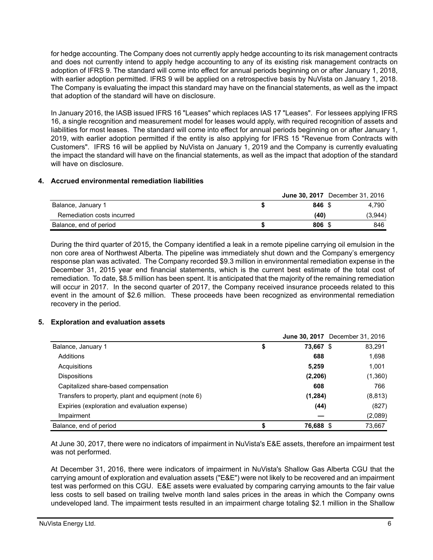for hedge accounting. The Company does not currently apply hedge accounting to its risk management contracts and does not currently intend to apply hedge accounting to any of its existing risk management contracts on adoption of IFRS 9. The standard will come into effect for annual periods beginning on or after January 1, 2018, with earlier adoption permitted. IFRS 9 will be applied on a retrospective basis by NuVista on January 1, 2018. The Company is evaluating the impact this standard may have on the financial statements, as well as the impact that adoption of the standard will have on disclosure.

In January 2016, the IASB issued IFRS 16 "Leases" which replaces IAS 17 "Leases". For lessees applying IFRS 16, a single recognition and measurement model for leases would apply, with required recognition of assets and liabilities for most leases. The standard will come into effect for annual periods beginning on or after January 1, 2019, with earlier adoption permitted if the entity is also applying for IFRS 15 "Revenue from Contracts with Customers". IFRS 16 will be applied by NuVista on January 1, 2019 and the Company is currently evaluating the impact the standard will have on the financial statements, as well as the impact that adoption of the standard will have on disclosure.

## **4. Accrued environmental remediation liabilities**

|                            |        | <b>June 30, 2017</b> December 31, 2016 |
|----------------------------|--------|----------------------------------------|
| Balance, January 1         | 846 \$ | 4.790                                  |
| Remediation costs incurred | (40)   | (3,944)                                |
| Balance, end of period     | 806    | 846                                    |

During the third quarter of 2015, the Company identified a leak in a remote pipeline carrying oil emulsion in the non core area of Northwest Alberta. The pipeline was immediately shut down and the Company's emergency response plan was activated. The Company recorded \$9.3 million in environmental remediation expense in the December 31, 2015 year end financial statements, which is the current best estimate of the total cost of remediation. To date, \$8.5 million has been spent. It is anticipated that the majority of the remaining remediation will occur in 2017. In the second quarter of 2017, the Company received insurance proceeds related to this event in the amount of \$2.6 million. These proceeds have been recognized as environmental remediation recovery in the period.

## **5. Exploration and evaluation assets**

|                                                     |                 | <b>June 30, 2017</b> December 31, 2016 |
|-----------------------------------------------------|-----------------|----------------------------------------|
| Balance, January 1                                  | \$<br>73,667 \$ | 83,291                                 |
| Additions                                           | 688             | 1,698                                  |
| Acquisitions                                        | 5,259           | 1,001                                  |
| <b>Dispositions</b>                                 | (2, 206)        | (1,360)                                |
| Capitalized share-based compensation                | 608             | 766                                    |
| Transfers to property, plant and equipment (note 6) | (1, 284)        | (8, 813)                               |
| Expiries (exploration and evaluation expense)       | (44)            | (827)                                  |
| Impairment                                          |                 | (2,089)                                |
| Balance, end of period                              | 76,688 \$       | 73,667                                 |

At June 30, 2017, there were no indicators of impairment in NuVista's E&E assets, therefore an impairment test was not performed.

At December 31, 2016, there were indicators of impairment in NuVista's Shallow Gas Alberta CGU that the carrying amount of exploration and evaluation assets ("E&E") were not likely to be recovered and an impairment test was performed on this CGU. E&E assets were evaluated by comparing carrying amounts to the fair value less costs to sell based on trailing twelve month land sales prices in the areas in which the Company owns undeveloped land. The impairment tests resulted in an impairment charge totaling \$2.1 million in the Shallow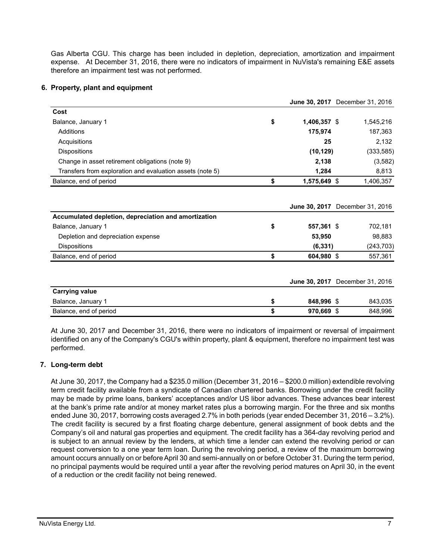Gas Alberta CGU. This charge has been included in depletion, depreciation, amortization and impairment expense. At December 31, 2016, there were no indicators of impairment in NuVista's remaining E&E assets therefore an impairment test was not performed.

## **6. Property, plant and equipment**

|                                                           |                    |     | June 30, 2017 December 31, 2016 |  |
|-----------------------------------------------------------|--------------------|-----|---------------------------------|--|
| Cost                                                      |                    |     |                                 |  |
| Balance, January 1                                        | \$<br>1,406,357 \$ |     | 1,545,216                       |  |
| Additions                                                 | 175,974            |     | 187,363                         |  |
| Acquisitions                                              | 25                 |     | 2,132                           |  |
| <b>Dispositions</b>                                       | (10, 129)          |     | (333, 585)                      |  |
| Change in asset retirement obligations (note 9)           | 2,138              |     | (3,582)                         |  |
| Transfers from exploration and evaluation assets (note 5) | 1,284              |     | 8,813                           |  |
| Balance, end of period                                    | \$<br>1,575,649 \$ |     | 1,406,357                       |  |
| Accumulated depletion, depreciation and amortization      |                    |     | June 30, 2017 December 31, 2016 |  |
| Balance, January 1                                        | \$<br>557,361 \$   |     | 702,181                         |  |
| Depletion and depreciation expense                        | 53,950             |     | 98,883                          |  |
| <b>Dispositions</b>                                       | (6, 331)           |     | (243, 703)                      |  |
| Balance, end of period                                    | \$<br>604,980 \$   |     | 557,361                         |  |
|                                                           |                    |     | June 30, 2017 December 31, 2016 |  |
| <b>Carrying value</b>                                     |                    |     |                                 |  |
| Balance, January 1                                        | \$<br>848,996 \$   |     | 843,035                         |  |
| Balance, end of period                                    | \$<br>970,669      | -\$ | 848,996                         |  |

At June 30, 2017 and December 31, 2016, there were no indicators of impairment or reversal of impairment identified on any of the Company's CGU's within property, plant & equipment, therefore no impairment test was performed.

## **7. Long-term debt**

At June 30, 2017, the Company had a \$235.0 million (December 31, 2016 – \$200.0 million) extendible revolving term credit facility available from a syndicate of Canadian chartered banks. Borrowing under the credit facility may be made by prime loans, bankers' acceptances and/or US libor advances. These advances bear interest at the bank's prime rate and/or at money market rates plus a borrowing margin. For the three and six months ended June 30, 2017, borrowing costs averaged 2.7% in both periods (year ended December 31, 2016 – 3.2%). The credit facility is secured by a first floating charge debenture, general assignment of book debts and the Company's oil and natural gas properties and equipment. The credit facility has a 364-day revolving period and is subject to an annual review by the lenders, at which time a lender can extend the revolving period or can request conversion to a one year term loan. During the revolving period, a review of the maximum borrowing amount occurs annually on or before April 30 and semi-annually on or before October 31. During the term period, no principal payments would be required until a year after the revolving period matures on April 30, in the event of a reduction or the credit facility not being renewed.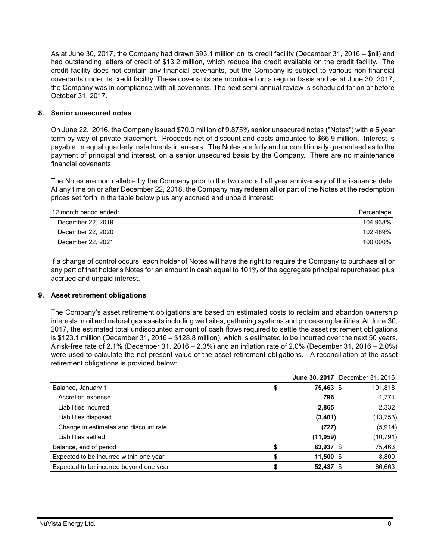As at June 30, 2017, the Company had drawn \$93.1 million on its credit facility (December 31, 2016 – \$nil) and had outstanding letters of credit of \$13.2 million, which reduce the credit available on the credit facility. The credit facility does not contain any financial covenants, but the Company is subject to various non-financial covenants under its credit facility. These covenants are monitored on a regular basis and as at June 30, 2017, the Company was in compliance with all covenants. The next semi-annual review is scheduled for on or before October 31, 2017.

## **8. Senior unsecured notes**

On June 22, 2016, the Company issued \$70.0 million of 9.875% senior unsecured notes ("Notes") with a 5 year term by way of private placement. Proceeds net of discount and costs amounted to \$66.9 million. Interest is payable in equal quarterly installments in arrears. The Notes are fully and unconditionally guaranteed as to the payment of principal and interest, on a senior unsecured basis by the Company. There are no maintenance financial covenants.

The Notes are non callable by the Company prior to the two and a half year anniversary of the issuance date. At any time on or after December 22, 2018, the Company may redeem all or part of the Notes at the redemption prices set forth in the table below plus any accrued and unpaid interest:

| 12 month period ended: | Percentage |
|------------------------|------------|
| December 22, 2019      | 104.938%   |
| December 22, 2020      | 102.469%   |
| December 22, 2021      | 100.000%   |

If a change of control occurs, each holder of Notes will have the right to require the Company to purchase all or any part of that holder's Notes for an amount in cash equal to 101% of the aggregate principal repurchased plus accrued and unpaid interest.

## **9. Asset retirement obligations**

The Company's asset retirement obligations are based on estimated costs to reclaim and abandon ownership interests in oil and natural gas assets including well sites, gathering systems and processing facilities. At June 30, 2017, the estimated total undiscounted amount of cash flows required to settle the asset retirement obligations is \$123.1 million (December 31, 2016 – \$128.8 million), which is estimated to be incurred over the next 50 years. A risk-free rate of 2.1% (December 31, 2016 – 2.3%) and an inflation rate of 2.0% (December 31, 2016 – 2.0%) were used to calculate the net present value of the asset retirement obligations. A reconciliation of the asset retirement obligations is provided below:

|                                         |                 | <b>June 30, 2017</b> December 31, 2016 |
|-----------------------------------------|-----------------|----------------------------------------|
| Balance, January 1                      | \$<br>75,463 \$ | 101,818                                |
| Accretion expense                       | 796             | 1,771                                  |
| Liabilities incurred                    | 2,865           | 2,332                                  |
| Liabilities disposed                    | (3,401)         | (13, 753)                              |
| Change in estimates and discount rate   | (727)           | (5,914)                                |
| Liabilities settled                     | (11,059)        | (10,791)                               |
| Balance, end of period                  | 63,937 \$       | 75,463                                 |
| Expected to be incurred within one year | 11,500 \$       | 8,800                                  |
| Expected to be incurred beyond one year | \$<br>52,437 \$ | 66.663                                 |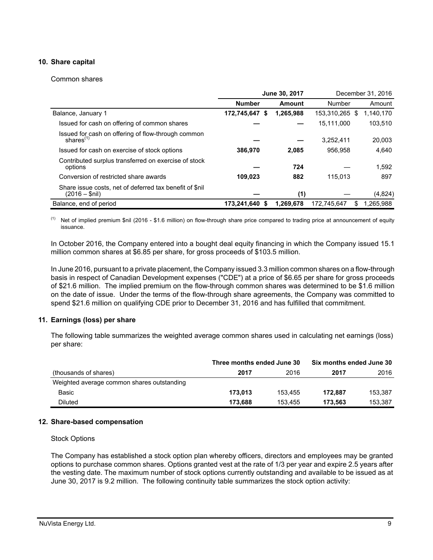## **10. Share capital**

#### Common shares

|                                                                            | June 30, 2017    |           |                | December 31, 2016 |
|----------------------------------------------------------------------------|------------------|-----------|----------------|-------------------|
|                                                                            | <b>Number</b>    | Amount    | Number         | Amount            |
| Balance, January 1                                                         | 172,745,647<br>S | 1,265,988 | 153,310,265 \$ | 1,140,170         |
| Issued for cash on offering of common shares                               |                  |           | 15,111,000     | 103,510           |
| Issued for cash on offering of flow-through common<br>shares $^{(1)}$      |                  |           | 3.252.411      | 20,003            |
| Issued for cash on exercise of stock options                               | 386,970          | 2,085     | 956.958        | 4,640             |
| Contributed surplus transferred on exercise of stock<br>options            |                  | 724       |                | 1.592             |
| Conversion of restricted share awards                                      | 109.023          | 882       | 115.013        | 897               |
| Share issue costs, net of deferred tax benefit of \$nil<br>$(2016 - $nil)$ |                  | (1)       |                | (4,824)           |
| Balance, end of period                                                     | 173.241.640 \$   | 1.269.678 | 172.745.647    | 1.265.988<br>S    |

(1) Net of implied premium \$nil (2016 - \$1.6 million) on flow-through share price compared to trading price at announcement of equity issuance.

In October 2016, the Company entered into a bought deal equity financing in which the Company issued 15.1 million common shares at \$6.85 per share, for gross proceeds of \$103.5 million.

In June 2016, pursuant to a private placement, the Company issued 3.3 million common shares on a flow-through basis in respect of Canadian Development expenses ("CDE") at a price of \$6.65 per share for gross proceeds of \$21.6 million. The implied premium on the flow-through common shares was determined to be \$1.6 million on the date of issue. Under the terms of the flow-through share agreements, the Company was committed to spend \$21.6 million on qualifying CDE prior to December 31, 2016 and has fulfilled that commitment.

## **11. Earnings (loss) per share**

The following table summarizes the weighted average common shares used in calculating net earnings (loss) per share:

|                                            | Three months ended June 30 |         | Six months ended June 30 |         |
|--------------------------------------------|----------------------------|---------|--------------------------|---------|
| (thousands of shares)                      | 2017                       | 2016    | 2017                     | 2016    |
| Weighted average common shares outstanding |                            |         |                          |         |
| Basic                                      | 173.013                    | 153.455 | 172.887                  | 153.387 |
| <b>Diluted</b>                             | 173.688                    | 153.455 | 173.563                  | 153.387 |

#### **12. Share-based compensation**

#### Stock Options

The Company has established a stock option plan whereby officers, directors and employees may be granted options to purchase common shares. Options granted vest at the rate of 1/3 per year and expire 2.5 years after the vesting date. The maximum number of stock options currently outstanding and available to be issued as at June 30, 2017 is 9.2 million. The following continuity table summarizes the stock option activity: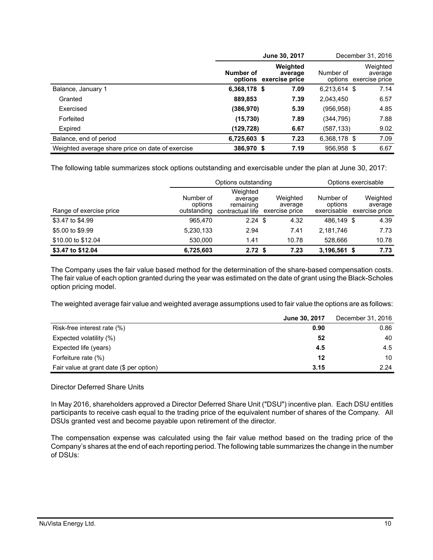|                                                  |                | June 30, 2017                                 | December 31, 2016 |                                               |  |
|--------------------------------------------------|----------------|-----------------------------------------------|-------------------|-----------------------------------------------|--|
|                                                  | Number of      | Weighted<br>average<br>options exercise price | Number of         | Weighted<br>average<br>options exercise price |  |
| Balance, January 1                               | 6,368,178 \$   | 7.09                                          | 6,213,614 \$      | 7.14                                          |  |
| Granted                                          | 889,853        | 7.39                                          | 2,043,450         | 6.57                                          |  |
| Exercised                                        | (386, 970)     | 5.39                                          | (956, 958)        | 4.85                                          |  |
| Forfeited                                        | (15, 730)      | 7.89                                          | (344, 795)        | 7.88                                          |  |
| Expired                                          | (129,728)      | 6.67                                          | (587,133)         | 9.02                                          |  |
| Balance, end of period                           | $6,725,603$ \$ | 7.23                                          | 6,368,178 \$      | 7.09                                          |  |
| Weighted average share price on date of exercise | 386,970 \$     | 7.19                                          | 956,958 \$        | 6.67                                          |  |

The following table summarizes stock options outstanding and exercisable under the plan at June 30, 2017:

|                         |                                     | Options outstanding                                  |                                       | Options exercisable                 |                                       |  |
|-------------------------|-------------------------------------|------------------------------------------------------|---------------------------------------|-------------------------------------|---------------------------------------|--|
| Range of exercise price | Number of<br>options<br>outstanding | Weighted<br>average<br>remaining<br>contractual life | Weighted<br>average<br>exercise price | Number of<br>options<br>exercisable | Weighted<br>average<br>exercise price |  |
| \$3.47 to \$4.99        | 965,470                             | $2.24$ \$                                            | 4.32                                  | 486.149 \$                          | 4.39                                  |  |
| \$5,00 to \$9.99        | 5,230,133                           | 2.94                                                 | 7.41                                  | 2,181,746                           | 7.73                                  |  |
| \$10.00 to \$12.04      | 530,000                             | 1.41                                                 | 10.78                                 | 528.666                             | 10.78                                 |  |
| \$3.47 to \$12.04       | 6,725,603                           | 2.72 <sup>5</sup>                                    | 7.23                                  | $3,196,561$ \$                      | 7.73                                  |  |

The Company uses the fair value based method for the determination of the share-based compensation costs. The fair value of each option granted during the year was estimated on the date of grant using the Black-Scholes option pricing model.

The weighted average fair value and weighted average assumptions used to fair value the options are as follows:

|                                          | June 30, 2017 | December 31, 2016 |
|------------------------------------------|---------------|-------------------|
| Risk-free interest rate (%)              | 0.90          | 0.86              |
| Expected volatility (%)                  | 52            | 40                |
| Expected life (years)                    | 4.5           | 4.5               |
| Forfeiture rate (%)                      | 12            | 10                |
| Fair value at grant date (\$ per option) | 3.15          | 2.24              |

## Director Deferred Share Units

In May 2016, shareholders approved a Director Deferred Share Unit ("DSU") incentive plan. Each DSU entitles participants to receive cash equal to the trading price of the equivalent number of shares of the Company. All DSUs granted vest and become payable upon retirement of the director.

The compensation expense was calculated using the fair value method based on the trading price of the Company's shares at the end of each reporting period. The following table summarizes the change in the number of DSUs: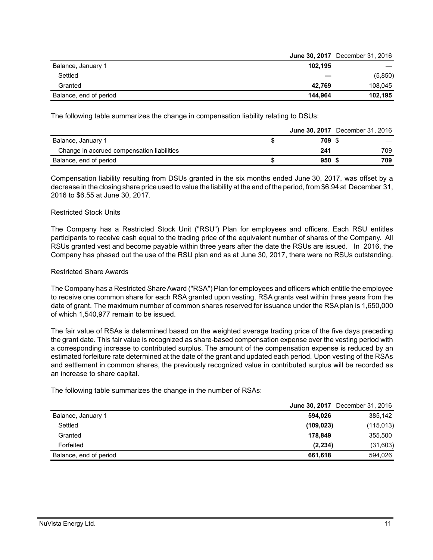|                        |         | <b>June 30, 2017</b> December 31, 2016 |
|------------------------|---------|----------------------------------------|
| Balance, January 1     | 102.195 |                                        |
| Settled                |         | (5,850)                                |
| Granted                | 42.769  | 108,045                                |
| Balance, end of period | 144.964 | 102.195                                |

The following table summarizes the change in compensation liability relating to DSUs:

|                                            |                  | <b>June 30, 2017</b> December 31, 2016 |
|--------------------------------------------|------------------|----------------------------------------|
| Balance, January 1                         | 709 S            |                                        |
| Change in accrued compensation liabilities | 241              | 709                                    |
| Balance, end of period                     | 950 <sup>5</sup> | 709                                    |

Compensation liability resulting from DSUs granted in the six months ended June 30, 2017, was offset by a decrease in the closing share price used to value the liability at the end of the period, from \$6.94 at December 31, 2016 to \$6.55 at June 30, 2017.

#### Restricted Stock Units

The Company has a Restricted Stock Unit ("RSU") Plan for employees and officers. Each RSU entitles participants to receive cash equal to the trading price of the equivalent number of shares of the Company. All RSUs granted vest and become payable within three years after the date the RSUs are issued. In 2016, the Company has phased out the use of the RSU plan and as at June 30, 2017, there were no RSUs outstanding.

#### Restricted Share Awards

The Company has a Restricted Share Award ("RSA") Plan for employees and officers which entitle the employee to receive one common share for each RSA granted upon vesting. RSA grants vest within three years from the date of grant. The maximum number of common shares reserved for issuance under the RSA plan is 1,650,000 of which 1,540,977 remain to be issued.

The fair value of RSAs is determined based on the weighted average trading price of the five days preceding the grant date. This fair value is recognized as share-based compensation expense over the vesting period with a corresponding increase to contributed surplus. The amount of the compensation expense is reduced by an estimated forfeiture rate determined at the date of the grant and updated each period. Upon vesting of the RSAs and settlement in common shares, the previously recognized value in contributed surplus will be recorded as an increase to share capital.

The following table summarizes the change in the number of RSAs:

|                        | <b>June 30, 2017</b> December 31, 2016 |            |
|------------------------|----------------------------------------|------------|
| Balance, January 1     | 594.026                                | 385,142    |
| Settled                | (109, 023)                             | (115, 013) |
| Granted                | 178.849                                | 355,500    |
| Forfeited              | (2, 234)                               | (31,603)   |
| Balance, end of period | 661.618                                | 594,026    |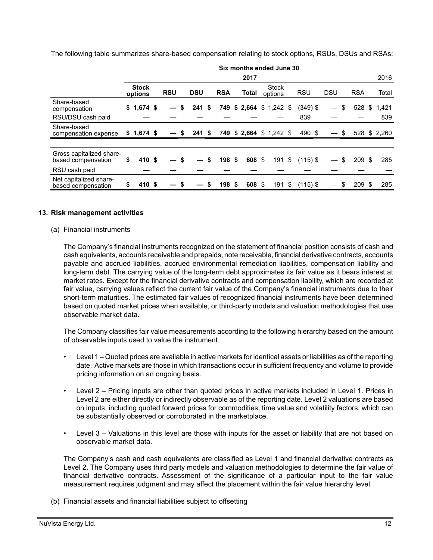The following table summarizes share-based compensation relating to stock options, RSUs, DSUs and RSAs:

|                                                |                         |                      |                          |    |            |   | Six months ended June 30 |                         |     |            |                   |    |            |              |
|------------------------------------------------|-------------------------|----------------------|--------------------------|----|------------|---|--------------------------|-------------------------|-----|------------|-------------------|----|------------|--------------|
|                                                |                         |                      |                          |    |            |   | 2017                     |                         |     |            |                   |    |            | 2016         |
|                                                | <b>Stock</b><br>options | <b>RSU</b>           | <b>DSU</b>               |    | <b>RSA</b> |   | Total                    | <b>Stock</b><br>options |     | <b>RSU</b> | <b>DSU</b>        |    | <b>RSA</b> | Total        |
| Share-based<br>compensation                    | $$1,674$ \$             | S<br>$\qquad \qquad$ | 241                      | S. |            |   | 749 \$ 2,664 \$ 1,242 \$ |                         |     | $(349)$ \$ | $\hspace{0.05cm}$ | \$ | 528        | \$<br>1,421  |
| RSU/DSU cash paid                              |                         |                      |                          |    |            |   |                          |                         |     | 839        |                   |    |            | 839          |
| Share-based<br>compensation expense            | $$1,674$ \$             | S                    | 241S                     |    |            |   | 749 \$ 2,664 \$ 1,242 \$ |                         |     | 490 \$     |                   | S  |            | 528 \$ 2,260 |
|                                                |                         |                      |                          |    |            |   |                          |                         |     |            |                   |    |            |              |
| Gross capitalized share-<br>based compensation | \$<br>410 \$            | \$                   | $\overline{\phantom{0}}$ | S  | 198 \$     |   | 608 \$                   | 191                     | -\$ | $(115)$ \$ |                   | \$ | 209S       | 285          |
| RSU cash paid                                  |                         |                      |                          |    |            |   |                          |                         |     |            |                   |    |            |              |
| Net capitalized share-<br>based compensation   | \$<br>410 \$            |                      |                          | \$ | 198        | S | 608 \$                   | 191                     | \$  | $(115)$ \$ |                   |    | 209S       | 285          |

#### **13. Risk management activities**

#### (a) Financial instruments

The Company's financial instruments recognized on the statement of financial position consists of cash and cash equivalents, accounts receivable and prepaids, note receivable, financial derivative contracts, accounts payable and accrued liabilities, accrued environmental remediation liabilities, compensation liability and long-term debt. The carrying value of the long-term debt approximates its fair value as it bears interest at market rates. Except for the financial derivative contracts and compensation liability, which are recorded at fair value, carrying values reflect the current fair value of the Company's financial instruments due to their short-term maturities. The estimated fair values of recognized financial instruments have been determined based on quoted market prices when available, or third-party models and valuation methodologies that use observable market data.

The Company classifies fair value measurements according to the following hierarchy based on the amount of observable inputs used to value the instrument.

- Level 1 Quoted prices are available in active markets for identical assets or liabilities as of the reporting date. Active markets are those in which transactions occur in sufficient frequency and volume to provide pricing information on an ongoing basis.
- Level 2 Pricing inputs are other than quoted prices in active markets included in Level 1. Prices in Level 2 are either directly or indirectly observable as of the reporting date. Level 2 valuations are based on inputs, including quoted forward prices for commodities, time value and volatility factors, which can be substantially observed or corroborated in the marketplace.
- Level 3 Valuations in this level are those with inputs for the asset or liability that are not based on observable market data.

The Company's cash and cash equivalents are classified as Level 1 and financial derivative contracts as Level 2. The Company uses third party models and valuation methodologies to determine the fair value of financial derivative contracts. Assessment of the significance of a particular input to the fair value measurement requires judgment and may affect the placement within the fair value hierarchy level.

(b) Financial assets and financial liabilities subject to offsetting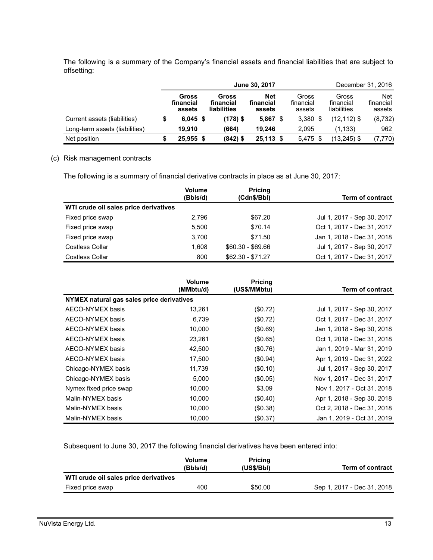The following is a summary of the Company's financial assets and financial liabilities that are subject to offsetting:

|                                | June 30, 2017 |                              |  |                                   |                                   |  | December 31, 2016            |                                   |                                   |  |
|--------------------------------|---------------|------------------------------|--|-----------------------------------|-----------------------------------|--|------------------------------|-----------------------------------|-----------------------------------|--|
|                                |               | Gross<br>financial<br>assets |  | Gross<br>financial<br>liabilities | <b>Net</b><br>financial<br>assets |  | Gross<br>financial<br>assets | Gross<br>financial<br>liabilities | <b>Net</b><br>financial<br>assets |  |
| Current assets (liabilities)   |               | $6,045$ \$                   |  | (178) \$                          | 5,867                             |  | $3,380$ \$                   | $(12, 112)$ \$                    | (8, 732)                          |  |
| Long-term assets (liabilities) |               | 19.910                       |  | (664)                             | 19.246                            |  | 2.095                        | (1.133)                           | 962                               |  |
| Net position                   |               | $25,955$ \$                  |  | (842) \$                          | $25,113$ \$                       |  | $5,475$ \$                   | $(13,245)$ \$                     | (7, 770)                          |  |

#### (c) Risk management contracts

The following is a summary of financial derivative contracts in place as at June 30, 2017:

|                                       | <b>Volume</b> | <b>Pricing</b>    |                            |
|---------------------------------------|---------------|-------------------|----------------------------|
|                                       | (Bbls/d)      | (Cdn\$/Bbl)       | <b>Term of contract</b>    |
| WTI crude oil sales price derivatives |               |                   |                            |
| Fixed price swap                      | 2.796         | \$67.20           | Jul 1, 2017 - Sep 30, 2017 |
| Fixed price swap                      | 5.500         | \$70.14           | Oct 1, 2017 - Dec 31, 2017 |
| Fixed price swap                      | 3.700         | \$71.50           | Jan 1, 2018 - Dec 31, 2018 |
| <b>Costless Collar</b>                | 1.608         | $$60.30 - $69.66$ | Jul 1, 2017 - Sep 30, 2017 |
| <b>Costless Collar</b>                | 800           | $$62.30 - $71.27$ | Oct 1, 2017 - Dec 31, 2017 |

|                                           | <b>Volume</b><br>(MMbtu/d) | <b>Pricing</b><br>(US\$/MMbtu) | <b>Term of contract</b>    |
|-------------------------------------------|----------------------------|--------------------------------|----------------------------|
| NYMEX natural gas sales price derivatives |                            |                                |                            |
| AECO-NYMEX basis                          | 13,261                     | (\$0.72)                       | Jul 1, 2017 - Sep 30, 2017 |
| AECO-NYMEX basis                          | 6,739                      | (\$0.72)                       | Oct 1, 2017 - Dec 31, 2017 |
| AECO-NYMEX basis                          | 10,000                     | (\$0.69)                       | Jan 1, 2018 - Sep 30, 2018 |
| AECO-NYMEX basis                          | 23,261                     | (\$0.65)                       | Oct 1, 2018 - Dec 31, 2018 |
| AECO-NYMEX basis                          | 42,500                     | (\$0.76)                       | Jan 1, 2019 - Mar 31, 2019 |
| AECO-NYMEX basis                          | 17,500                     | (\$0.94)                       | Apr 1, 2019 - Dec 31, 2022 |
| Chicago-NYMEX basis                       | 11,739                     | (\$0.10)                       | Jul 1, 2017 - Sep 30, 2017 |
| Chicago-NYMEX basis                       | 5.000                      | (\$0.05)                       | Nov 1, 2017 - Dec 31, 2017 |
| Nymex fixed price swap                    | 10,000                     | \$3.09                         | Nov 1, 2017 - Oct 31, 2018 |
| Malin-NYMEX basis                         | 10,000                     | (\$0.40)                       | Apr 1, 2018 - Sep 30, 2018 |
| Malin-NYMEX basis                         | 10,000                     | (\$0.38)                       | Oct 2, 2018 - Dec 31, 2018 |
| Malin-NYMEX basis                         | 10.000                     | (\$0.37)                       | Jan 1, 2019 - Oct 31, 2019 |

Subsequent to June 30, 2017 the following financial derivatives have been entered into:

| <b>Volume</b><br>(Bbls/d) | <b>Pricing</b><br>(US\$/Bbl)          | <b>Term of contract</b>    |
|---------------------------|---------------------------------------|----------------------------|
|                           |                                       |                            |
| 400                       | \$50.00                               | Sep 1, 2017 - Dec 31, 2018 |
|                           | WTI crude oil sales price derivatives |                            |